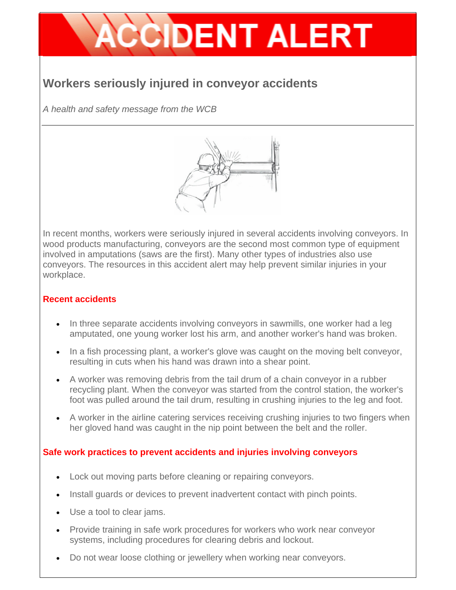# **CCIDENT ALERT**

# **Workers seriously injured in conveyor accidents**

*A health and safety message from the WCB* 



In recent months, workers were seriously injured in several accidents involving conveyors. In wood products manufacturing, conveyors are the second most common type of equipment involved in amputations (saws are the first). Many other types of industries also use conveyors. The resources in this accident alert may help prevent similar injuries in your workplace.

#### **Recent accidents**

- In three separate accidents involving conveyors in sawmills, one worker had a leg amputated, one young worker lost his arm, and another worker's hand was broken.
- In a fish processing plant, a worker's glove was caught on the moving belt conveyor, resulting in cuts when his hand was drawn into a shear point.
- A worker was removing debris from the tail drum of a chain conveyor in a rubber recycling plant. When the conveyor was started from the control station, the worker's foot was pulled around the tail drum, resulting in crushing injuries to the leg and foot.
- A worker in the airline catering services receiving crushing injuries to two fingers when her gloved hand was caught in the nip point between the belt and the roller.

#### **Safe work practices to prevent accidents and injuries involving conveyors**

- Lock out moving parts before cleaning or repairing conveyors.
- Install guards or devices to prevent inadvertent contact with pinch points.
- Use a tool to clear jams.
- Provide training in safe work procedures for workers who work near conveyor systems, including procedures for clearing debris and lockout.
- Do not wear loose clothing or jewellery when working near conveyors.